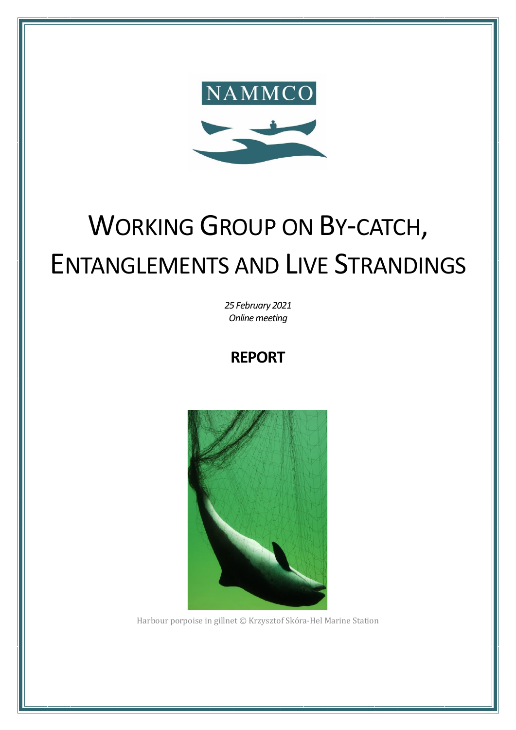

# **WORKING GROUP ON BY-CATCH, ENTANGLEMENTS AND LIVE STRANDINGS**

25 February 2021 Online meeting

**REPORT** 



Harbour porpoise in gillnet © Krzysztof Skóra-Hel Marine Station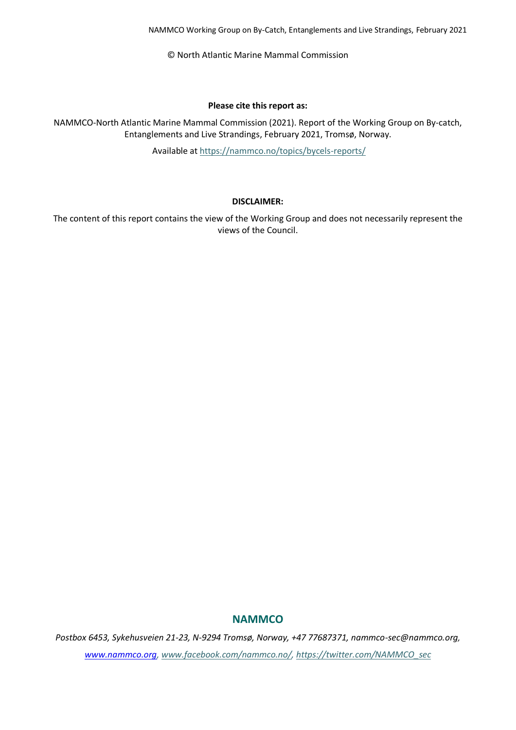© North Atlantic Marine Mammal Commission

#### **Please cite this report as:**

NAMMCO-North Atlantic Marine Mammal Commission (2021). Report of the Working Group on By-catch, Entanglements and Live Strandings, February 2021, Tromsø, Norway.

Available at <https://nammco.no/topics/bycels-reports/>

#### **DISCLAIMER:**

The content of this report contains the view of the Working Group and does not necessarily represent the views of the Council.

#### **NAMMCO**

*Postbox 6453, Sykehusveien 21-23, N-9294 Tromsø, Norway, +47 77687371, nammco-sec@nammco.org, [www.nammco.org,](http://www.nammco.org/) [www.facebook.com/nammco.no/,](http://www.facebook.com/nammco.no/) [https://twitter.com/NAMMCO\\_sec](https://twitter.com/NAMMCO_sec)*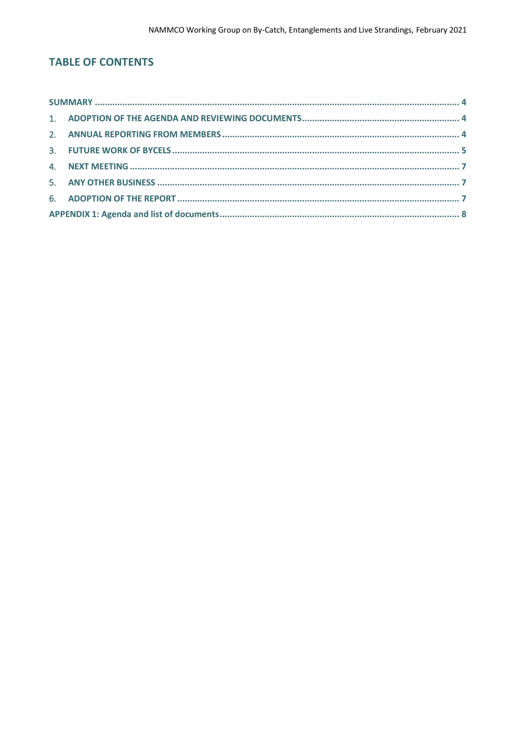## **TABLE OF CONTENTS**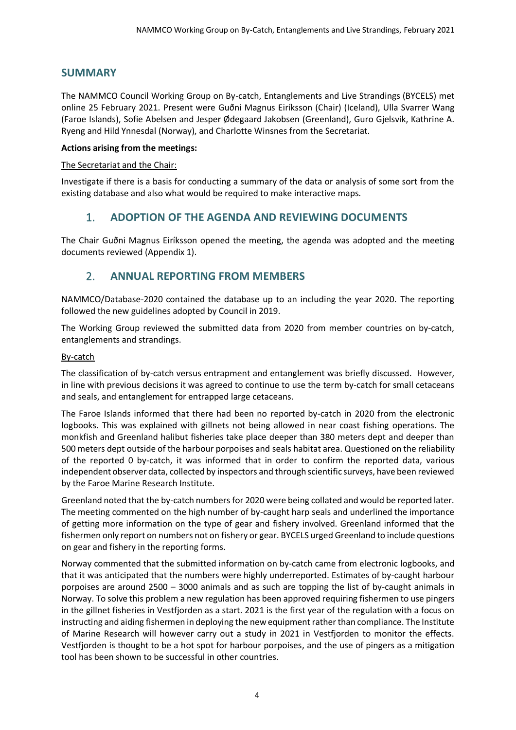## <span id="page-3-0"></span>**SUMMARY**

The NAMMCO Council Working Group on By-catch, Entanglements and Live Strandings (BYCELS) met online 25 February 2021. Present were Guðni Magnus Eiríksson (Chair) (Iceland), Ulla Svarrer Wang (Faroe Islands), Sofie Abelsen and Jesper Ødegaard Jakobsen (Greenland), Guro Gjelsvik, Kathrine A. Ryeng and Hild Ynnesdal (Norway), and Charlotte Winsnes from the Secretariat.

#### **Actions arising from the meetings:**

#### The Secretariat and the Chair:

<span id="page-3-1"></span>Investigate if there is a basis for conducting a summary of the data or analysis of some sort from the existing database and also what would be required to make interactive maps.

## 1. **ADOPTION OF THE AGENDA AND REVIEWING DOCUMENTS**

<span id="page-3-2"></span>The Chair Guðni Magnus Eiríksson opened the meeting, the agenda was adopted and the meeting documents reviewed (Appendix 1).

## 2. **ANNUAL REPORTING FROM MEMBERS**

NAMMCO/Database-2020 contained the database up to an including the year 2020. The reporting followed the new guidelines adopted by Council in 2019.

The Working Group reviewed the submitted data from 2020 from member countries on by-catch, entanglements and strandings.

#### By-catch

The classification of by-catch versus entrapment and entanglement was briefly discussed. However, in line with previous decisions it was agreed to continue to use the term by-catch for small cetaceans and seals, and entanglement for entrapped large cetaceans.

The Faroe Islands informed that there had been no reported by-catch in 2020 from the electronic logbooks. This was explained with gillnets not being allowed in near coast fishing operations. The monkfish and Greenland halibut fisheries take place deeper than 380 meters dept and deeper than 500 meters dept outside of the harbour porpoises and seals habitat area. Questioned on the reliability of the reported 0 by-catch, it was informed that in order to confirm the reported data, various independent observer data, collected by inspectors and through scientific surveys, have been reviewed by the Faroe Marine Research Institute.

Greenland noted that the by-catch numbers for 2020 were being collated and would be reported later. The meeting commented on the high number of by-caught harp seals and underlined the importance of getting more information on the type of gear and fishery involved. Greenland informed that the fishermen only report on numbers not on fishery or gear. BYCELS urged Greenland to include questions on gear and fishery in the reporting forms.

Norway commented that the submitted information on by-catch came from electronic logbooks, and that it was anticipated that the numbers were highly underreported. Estimates of by-caught harbour porpoises are around 2500 – 3000 animals and as such are topping the list of by-caught animals in Norway. To solve this problem a new regulation has been approved requiring fishermen to use pingers in the gillnet fisheries in Vestfjorden as a start. 2021 is the first year of the regulation with a focus on instructing and aiding fishermen in deploying the new equipment rather than compliance. The Institute of Marine Research will however carry out a study in 2021 in Vestfjorden to monitor the effects. Vestfjorden is thought to be a hot spot for harbour porpoises, and the use of pingers as a mitigation tool has been shown to be successful in other countries.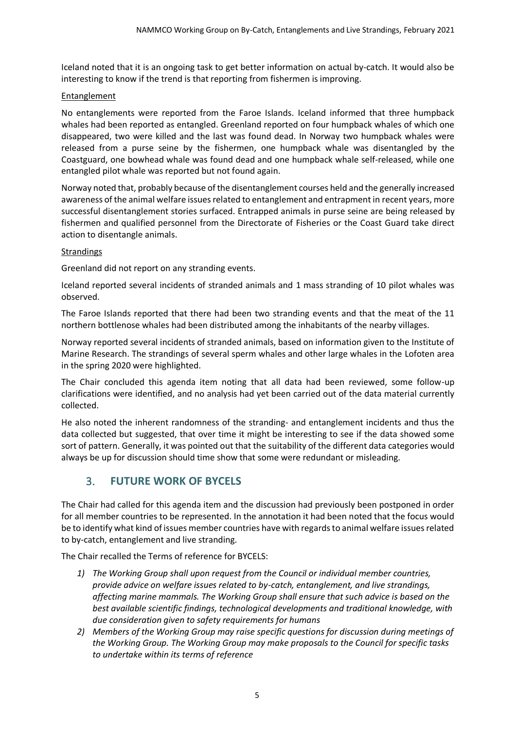Iceland noted that it is an ongoing task to get better information on actual by-catch. It would also be interesting to know if the trend is that reporting from fishermen is improving.

#### Entanglement

No entanglements were reported from the Faroe Islands. Iceland informed that three humpback whales had been reported as entangled. Greenland reported on four humpback whales of which one disappeared, two were killed and the last was found dead. In Norway two humpback whales were released from a purse seine by the fishermen, one humpback whale was disentangled by the Coastguard, one bowhead whale was found dead and one humpback whale self-released, while one entangled pilot whale was reported but not found again.

Norway noted that, probably because of the disentanglement courses held and the generally increased awareness of the animal welfare issues related to entanglement and entrapment in recent years, more successful disentanglement stories surfaced. Entrapped animals in purse seine are being released by fishermen and qualified personnel from the Directorate of Fisheries or the Coast Guard take direct action to disentangle animals.

#### **Strandings**

Greenland did not report on any stranding events.

Iceland reported several incidents of stranded animals and 1 mass stranding of 10 pilot whales was observed.

The Faroe Islands reported that there had been two stranding events and that the meat of the 11 northern bottlenose whales had been distributed among the inhabitants of the nearby villages.

Norway reported several incidents of stranded animals, based on information given to the Institute of Marine Research. The strandings of several sperm whales and other large whales in the Lofoten area in the spring 2020 were highlighted.

The Chair concluded this agenda item noting that all data had been reviewed, some follow-up clarifications were identified, and no analysis had yet been carried out of the data material currently collected.

He also noted the inherent randomness of the stranding- and entanglement incidents and thus the data collected but suggested, that over time it might be interesting to see if the data showed some sort of pattern. Generally, it was pointed out that the suitability of the different data categories would always be up for discussion should time show that some were redundant or misleading.

## <span id="page-4-0"></span>3. **FUTURE WORK OF BYCELS**

The Chair had called for this agenda item and the discussion had previously been postponed in order for all member countries to be represented. In the annotation it had been noted that the focus would be to identify what kind of issues member countries have with regards to animal welfare issues related to by-catch, entanglement and live stranding.

The Chair recalled the Terms of reference for BYCELS:

- *1) The Working Group shall upon request from the Council or individual member countries, provide advice on welfare issues related to by-catch, entanglement, and live strandings, affecting marine mammals. The Working Group shall ensure that such advice is based on the best available scientific findings, technological developments and traditional knowledge, with due consideration given to safety requirements for humans*
- *2) Members of the Working Group may raise specific questions for discussion during meetings of the Working Group. The Working Group may make proposals to the Council for specific tasks to undertake within its terms of reference*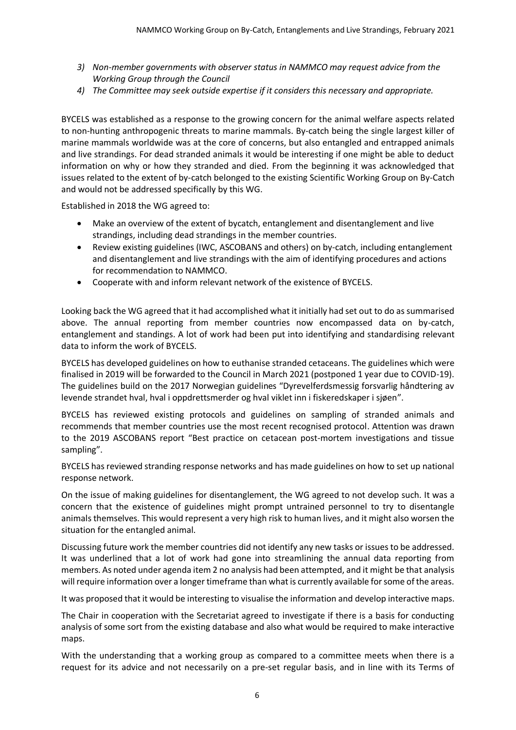- *3) Non-member governments with observer status in NAMMCO may request advice from the Working Group through the Council*
- *4) The Committee may seek outside expertise if it considers this necessary and appropriate.*

BYCELS was established as a response to the growing concern for the animal welfare aspects related to non-hunting anthropogenic threats to marine mammals. By-catch being the single largest killer of marine mammals worldwide was at the core of concerns, but also entangled and entrapped animals and live strandings. For dead stranded animals it would be interesting if one might be able to deduct information on why or how they stranded and died. From the beginning it was acknowledged that issues related to the extent of by-catch belonged to the existing Scientific Working Group on By-Catch and would not be addressed specifically by this WG.

Established in 2018 the WG agreed to:

- Make an overview of the extent of bycatch, entanglement and disentanglement and live strandings, including dead strandings in the member countries.
- Review existing guidelines (IWC, ASCOBANS and others) on by-catch, including entanglement and disentanglement and live strandings with the aim of identifying procedures and actions for recommendation to NAMMCO.
- Cooperate with and inform relevant network of the existence of BYCELS.

Looking back the WG agreed that it had accomplished what it initially had set out to do as summarised above. The annual reporting from member countries now encompassed data on by-catch, entanglement and standings. A lot of work had been put into identifying and standardising relevant data to inform the work of BYCELS.

BYCELS has developed guidelines on how to euthanise stranded cetaceans. The guidelines which were finalised in 2019 will be forwarded to the Council in March 2021 (postponed 1 year due to COVID-19). The guidelines build on the 2017 Norwegian guidelines "Dyrevelferdsmessig forsvarlig håndtering av levende strandet hval, hval i oppdrettsmerder og hval viklet inn i fiskeredskaper i sjøen".

BYCELS has reviewed existing protocols and guidelines on sampling of stranded animals and recommends that member countries use the most recent recognised protocol. Attention was drawn to the 2019 ASCOBANS report "Best practice on cetacean post-mortem investigations and tissue sampling".

BYCELS has reviewed stranding response networks and has made guidelines on how to set up national response network.

On the issue of making guidelines for disentanglement, the WG agreed to not develop such. It was a concern that the existence of guidelines might prompt untrained personnel to try to disentangle animals themselves. This would represent a very high risk to human lives, and it might also worsen the situation for the entangled animal.

Discussing future work the member countries did not identify any new tasks or issues to be addressed. It was underlined that a lot of work had gone into streamlining the annual data reporting from members. As noted under agenda item 2 no analysis had been attempted, and it might be that analysis will require information over a longer timeframe than what is currently available for some of the areas.

It was proposed that it would be interesting to visualise the information and develop interactive maps.

The Chair in cooperation with the Secretariat agreed to investigate if there is a basis for conducting analysis of some sort from the existing database and also what would be required to make interactive maps.

With the understanding that a working group as compared to a committee meets when there is a request for its advice and not necessarily on a pre-set regular basis, and in line with its Terms of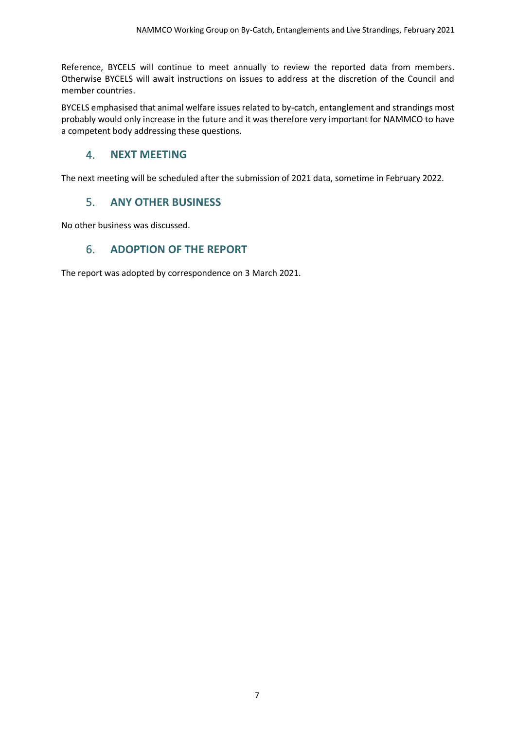Reference, BYCELS will continue to meet annually to review the reported data from members. Otherwise BYCELS will await instructions on issues to address at the discretion of the Council and member countries.

BYCELS emphasised that animal welfare issues related to by-catch, entanglement and strandings most probably would only increase in the future and it was therefore very important for NAMMCO to have a competent body addressing these questions.

## <span id="page-6-0"></span>4. **NEXT MEETING**

<span id="page-6-1"></span>The next meeting will be scheduled after the submission of 2021 data, sometime in February 2022.

## 5. **ANY OTHER BUSINESS**

<span id="page-6-2"></span>No other business was discussed.

## 6. **ADOPTION OF THE REPORT**

The report was adopted by correspondence on 3 March 2021.